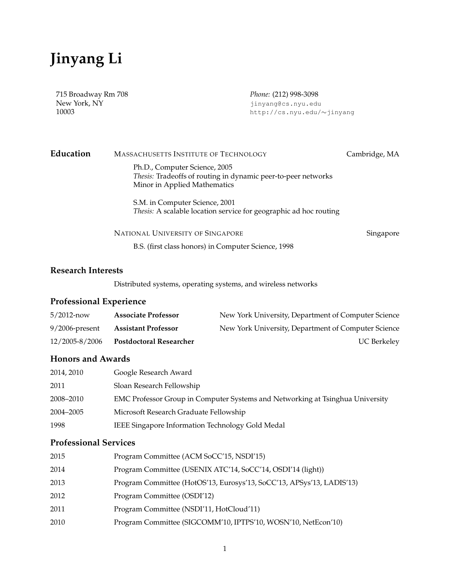# **Jinyang Li**

715 Broadway Rm 708 *Phone:* (212) 998-3098

New York, NY jinyang@cs.nyu.edu<br>10003 http://cs.nyu.edu/ 10003 http://cs.nyu.edu/∼jinyang

| Education | MASSACHUSETTS INSTITUTE OF TECHNOLOGY                                                                                          | Cambridge, MA |
|-----------|--------------------------------------------------------------------------------------------------------------------------------|---------------|
|           | Ph.D., Computer Science, 2005<br>Thesis: Tradeoffs of routing in dynamic peer-to-peer networks<br>Minor in Applied Mathematics |               |
|           | S.M. in Computer Science, 2001<br>Thesis: A scalable location service for geographic ad hoc routing                            |               |
|           | NATIONAL UNIVERSITY OF SINGAPORE                                                                                               | Singapore     |

B.S. (first class honors) in Computer Science, 1998

#### **Research Interests**

Distributed systems, operating systems, and wireless networks

## **Professional Experience**

| $5/2012$ -now     | <b>Associate Professor</b>     | New York University, Department of Computer Science |
|-------------------|--------------------------------|-----------------------------------------------------|
| $9/2006$ -present | <b>Assistant Professor</b>     | New York University, Department of Computer Science |
| 12/2005-8/2006    | <b>Postdoctoral Researcher</b> | <b>UC Berkeley</b>                                  |

## **Honors and Awards**

| 2014, 2010 | Google Research Award                                                         |
|------------|-------------------------------------------------------------------------------|
| 2011       | Sloan Research Fellowship                                                     |
| 2008–2010  | EMC Professor Group in Computer Systems and Networking at Tsinghua University |
| 2004–2005  | Microsoft Research Graduate Fellowship                                        |
| 1998       | IEEE Singapore Information Technology Gold Medal                              |

### **Professional Services**

| 2015 | Program Committee (ACM SoCC'15, NSDI'15)                              |
|------|-----------------------------------------------------------------------|
| 2014 | Program Committee (USENIX ATC'14, SoCC'14, OSDI'14 (light))           |
| 2013 | Program Committee (HotOS'13, Eurosys'13, SoCC'13, APSys'13, LADIS'13) |
| 2012 | Program Committee (OSDI'12)                                           |
| 2011 | Program Committee (NSDI'11, HotCloud'11)                              |
| 2010 | Program Committee (SIGCOMM'10, IPTPS'10, WOSN'10, NetEcon'10)         |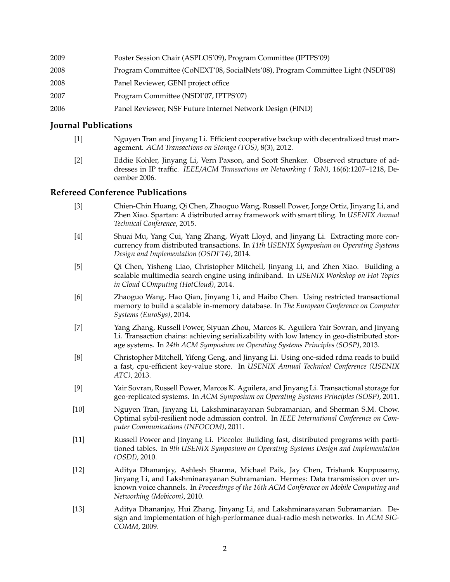| 2009 | Poster Session Chair (ASPLOS'09), Program Committee (IPTPS'09)                  |
|------|---------------------------------------------------------------------------------|
| 2008 | Program Committee (CoNEXT'08, SocialNets'08), Program Committee Light (NSDI'08) |
| 2008 | Panel Reviewer, GENI project office                                             |
| 2007 | Program Committee (NSDI'07, IPTPS'07)                                           |
| 2006 | Panel Reviewer, NSF Future Internet Network Design (FIND)                       |

#### **Journal Publications**

- [1] Nguyen Tran and Jinyang Li. Efficient cooperative backup with decentralized trust management. *ACM Transactions on Storage (TOS)*, 8(3), 2012.
- [2] Eddie Kohler, Jinyang Li, Vern Paxson, and Scott Shenker. Observed structure of addresses in IP traffic. *IEEE/ACM Transactions on Networking ( ToN)*, 16(6):1207–1218, December 2006.

#### **Refereed Conference Publications**

- [3] Chien-Chin Huang, Qi Chen, Zhaoguo Wang, Russell Power, Jorge Ortiz, Jinyang Li, and Zhen Xiao. Spartan: A distributed array framework with smart tiling. In *USENIX Annual Technical Conference*, 2015.
- [4] Shuai Mu, Yang Cui, Yang Zhang, Wyatt Lloyd, and Jinyang Li. Extracting more concurrency from distributed transactions. In *11th USENIX Symposium on Operating Systems Design and Implementation (OSDI'14)*, 2014.
- [5] Qi Chen, Yisheng Liao, Christopher Mitchell, Jinyang Li, and Zhen Xiao. Building a scalable multimedia search engine using infiniband. In *USENIX Workshop on Hot Topics in Cloud COmputing (HotCloud)*, 2014.
- [6] Zhaoguo Wang, Hao Qian, Jinyang Li, and Haibo Chen. Using restricted transactional memory to build a scalable in-memory database. In *The European Conference on Computer Systems (EuroSys)*, 2014.
- [7] Yang Zhang, Russell Power, Siyuan Zhou, Marcos K. Aguilera Yair Sovran, and Jinyang Li. Transaction chains: achieving serializability with low latency in geo-distributed storage systems. In *24th ACM Symposium on Operating Systems Principles (SOSP)*, 2013.
- [8] Christopher Mitchell, Yifeng Geng, and Jinyang Li. Using one-sided rdma reads to build a fast, cpu-efficient key-value store. In *USENIX Annual Technical Conference (USENIX ATC)*, 2013.
- [9] Yair Sovran, Russell Power, Marcos K. Aguilera, and Jinyang Li. Transactional storage for geo-replicated systems. In *ACM Symposium on Operating Systems Principles (SOSP)*, 2011.
- [10] Nguyen Tran, Jinyang Li, Lakshminarayanan Subramanian, and Sherman S.M. Chow. Optimal sybil-resilient node admission control. In *IEEE International Conference on Computer Communications (INFOCOM)*, 2011.
- [11] Russell Power and Jinyang Li. Piccolo: Building fast, distributed programs with partitioned tables. In *9th USENIX Symposium on Operating Systems Design and Implementation (OSDI)*, 2010.
- [12] Aditya Dhananjay, Ashlesh Sharma, Michael Paik, Jay Chen, Trishank Kuppusamy, Jinyang Li, and Lakshminarayanan Subramanian. Hermes: Data transmission over unknown voice channels. In *Proceedings of the 16th ACM Conference on Mobile Computing and Networking (Mobicom)*, 2010.
- [13] Aditya Dhananjay, Hui Zhang, Jinyang Li, and Lakshminarayanan Subramanian. Design and implementation of high-performance dual-radio mesh networks. In *ACM SIG-COMM*, 2009.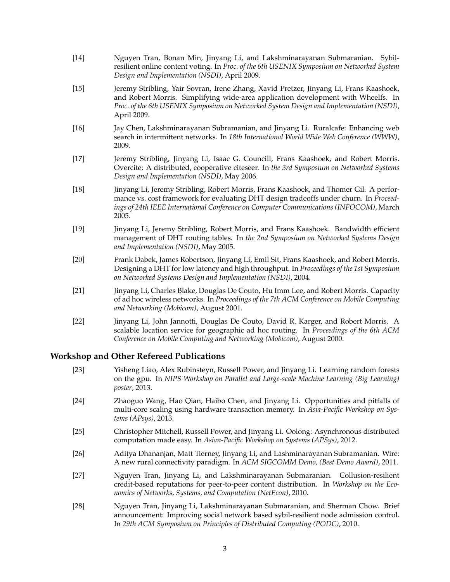- [14] Nguyen Tran, Bonan Min, Jinyang Li, and Lakshminarayanan Submaranian. Sybilresilient online content voting. In *Proc. of the 6th USENIX Symposium on Networked System Design and Implementation (NSDI)*, April 2009.
- [15] Jeremy Stribling, Yair Sovran, Irene Zhang, Xavid Pretzer, Jinyang Li, Frans Kaashoek, and Robert Morris. Simplifying wide-area application development with Wheelfs. In *Proc. of the 6th USENIX Symposium on Networked System Design and Implementation (NSDI)*, April 2009.
- [16] Jay Chen, Lakshminarayanan Subramanian, and Jinyang Li. Ruralcafe: Enhancing web search in intermittent networks. In *18th International World Wide Web Conference (WWW)*, 2009.
- [17] Jeremy Stribling, Jinyang Li, Isaac G. Councill, Frans Kaashoek, and Robert Morris. Overcite: A distributed, cooperative citeseer. In *the 3rd Symposium on Networked Systems Design and Implementation (NSDI)*, May 2006.
- [18] Jinyang Li, Jeremy Stribling, Robert Morris, Frans Kaashoek, and Thomer Gil. A performance vs. cost framework for evaluating DHT design tradeoffs under churn. In *Proceedings of 24th IEEE International Conference on Computer Communications (INFOCOM)*, March 2005.
- [19] Jinyang Li, Jeremy Stribling, Robert Morris, and Frans Kaashoek. Bandwidth efficient management of DHT routing tables. In *the 2nd Symposium on Networked Systems Design and Implementation (NSDI)*, May 2005.
- [20] Frank Dabek, James Robertson, Jinyang Li, Emil Sit, Frans Kaashoek, and Robert Morris. Designing a DHT for low latency and high throughput. In *Proceedings of the 1st Symposium on Networked Systems Design and Implementation (NSDI)*, 2004.
- [21] Jinyang Li, Charles Blake, Douglas De Couto, Hu Imm Lee, and Robert Morris. Capacity of ad hoc wireless networks. In *Proceedings of the 7th ACM Conference on Mobile Computing and Networking (Mobicom)*, August 2001.
- [22] Jinyang Li, John Jannotti, Douglas De Couto, David R. Karger, and Robert Morris. A scalable location service for geographic ad hoc routing. In *Proceedings of the 6th ACM Conference on Mobile Computing and Networking (Mobicom)*, August 2000.

### **Workshop and Other Refereed Publications**

- [23] Yisheng Liao, Alex Rubinsteyn, Russell Power, and Jinyang Li. Learning random forests on the gpu. In *NIPS Workshop on Parallel and Large-scale Machine Learning (Big Learning) poster*, 2013.
- [24] Zhaoguo Wang, Hao Qian, Haibo Chen, and Jinyang Li. Opportunities and pitfalls of multi-core scaling using hardware transaction memory. In *Asia-Pacific Workshop on Systems (APsys)*, 2013.
- [25] Christopher Mitchell, Russell Power, and Jinyang Li. Oolong: Asynchronous distributed computation made easy. In *Asian-Pacific Workshop on Systems (APSys)*, 2012.
- [26] Aditya Dhananjan, Matt Tierney, Jinyang Li, and Lashminarayanan Subramanian. Wire: A new rural connectivity paradigm. In *ACM SIGCOMM Demo, (Best Demo Award)*, 2011.
- [27] Nguyen Tran, Jinyang Li, and Lakshminarayanan Submaranian. Collusion-resilient credit-based reputations for peer-to-peer content distribution. In *Workshop on the Economics of Networks, Systems, and Computation (NetEcon)*, 2010.
- [28] Nguyen Tran, Jinyang Li, Lakshminarayanan Submaranian, and Sherman Chow. Brief announcement: Improving social network based sybil-resilient node admission control. In *29th ACM Symposium on Principles of Distributed Computing (PODC)*, 2010.